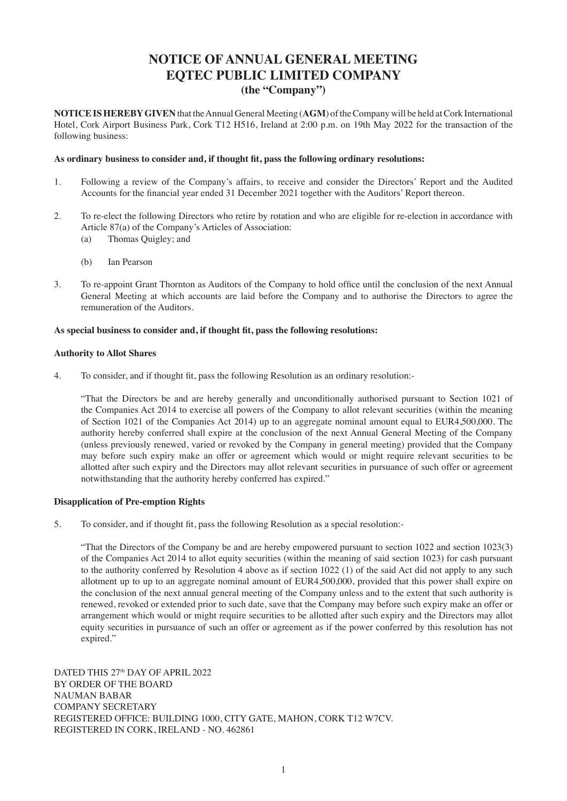# **NOTICE OF ANNUAL GENERAL MEETING EQTEC PUBLIC LIMITED COMPANY (the "Company")**

**NOTICE IS HEREBY GIVEN** that the Annual General Meeting (**AGM**) of the Company will be held at Cork International Hotel, Cork Airport Business Park, Cork T12 H516, Ireland at 2:00 p.m. on 19th May 2022 for the transaction of the following business:

### **As ordinary business to consider and, if thought fit, pass the following ordinary resolutions:**

- 1. Following a review of the Company's affairs, to receive and consider the Directors' Report and the Audited Accounts for the financial year ended 31 December 2021 together with the Auditors' Report thereon.
- 2. To re-elect the following Directors who retire by rotation and who are eligible for re-election in accordance with Article 87(a) of the Company's Articles of Association:
	- (a) Thomas Quigley; and
	- (b) Ian Pearson
- 3. To re-appoint Grant Thornton as Auditors of the Company to hold office until the conclusion of the next Annual General Meeting at which accounts are laid before the Company and to authorise the Directors to agree the remuneration of the Auditors.

### **As special business to consider and, if thought fit, pass the following resolutions:**

### **Authority to Allot Shares**

4. To consider, and if thought fit, pass the following Resolution as an ordinary resolution:-

 "That the Directors be and are hereby generally and unconditionally authorised pursuant to Section 1021 of the Companies Act 2014 to exercise all powers of the Company to allot relevant securities (within the meaning of Section 1021 of the Companies Act 2014) up to an aggregate nominal amount equal to EUR4,500,000. The authority hereby conferred shall expire at the conclusion of the next Annual General Meeting of the Company (unless previously renewed, varied or revoked by the Company in general meeting) provided that the Company may before such expiry make an offer or agreement which would or might require relevant securities to be allotted after such expiry and the Directors may allot relevant securities in pursuance of such offer or agreement notwithstanding that the authority hereby conferred has expired."

### **Disapplication of Pre-emption Rights**

5. To consider, and if thought fit, pass the following Resolution as a special resolution:-

"That the Directors of the Company be and are hereby empowered pursuant to section 1022 and section 1023(3) of the Companies Act 2014 to allot equity securities (within the meaning of said section 1023) for cash pursuant to the authority conferred by Resolution 4 above as if section 1022 (1) of the said Act did not apply to any such allotment up to up to an aggregate nominal amount of EUR4,500,000, provided that this power shall expire on the conclusion of the next annual general meeting of the Company unless and to the extent that such authority is renewed, revoked or extended prior to such date, save that the Company may before such expiry make an offer or arrangement which would or might require securities to be allotted after such expiry and the Directors may allot equity securities in pursuance of such an offer or agreement as if the power conferred by this resolution has not expired."

DATED THIS 27<sup>th</sup> DAY OF APRIL 2022 BY ORDER OF THE BOARD NAUMAN BABAR COMPANY SECRETARY REGISTERED OFFICE: BUILDING 1000, CITY GATE, MAHON, CORK T12 W7CV. REGISTERED IN CORK, IRELAND - NO. 462861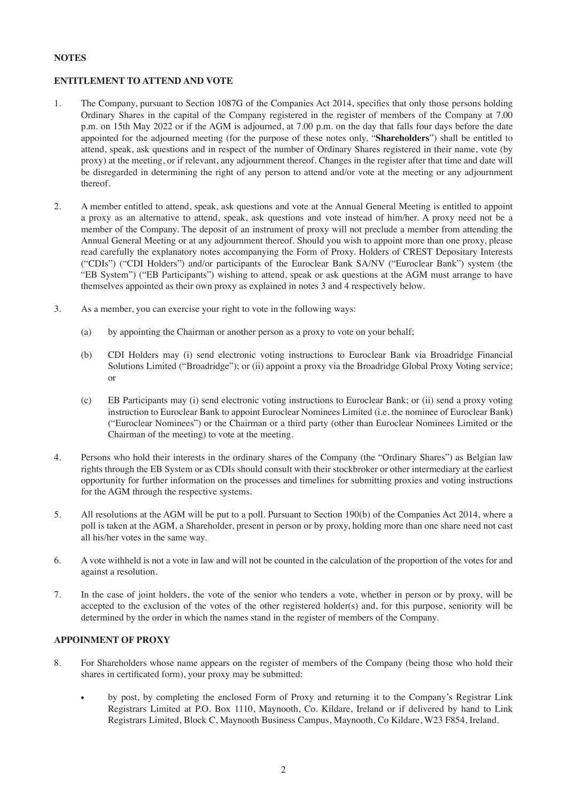# **NOTES**

# **ENTITLEMENT TO ATTEND AND VOTE**

- 1. The Company, pursuant to Section 1087G of the Companies Act 2014, specifies that only those persons holding Ordinary Shares in the capital of the Company registered in the register of members of the Company at 7.00 p.m. on 15th May 2022 or if the AGM is adjourned, at 7.00 p.m. on the day that falls four days before the date appointed for the adjourned meeting (for the purpose of these notes only, "**Shareholders**") shall be entitled to attend, speak, ask questions and in respect of the number of Ordinary Shares registered in their name, vote (by proxy) at the meeting, or if relevant, any adjournment thereof. Changes in the register after that time and date will be disregarded in determining the right of any person to attend and/or vote at the meeting or any adjournment thereof.
- 2. A member entitled to attend, speak, ask questions and vote at the Annual General Meeting is entitled to appoint a proxy as an alternative to attend, speak, ask questions and vote instead of him/her. A proxy need not be a member of the Company. The deposit of an instrument of proxy will not preclude a member from attending the Annual General Meeting or at any adjournment thereof. Should you wish to appoint more than one proxy, please read carefully the explanatory notes accompanying the Form of Proxy. Holders of CREST Depositary Interests ("CDIs") ("CDI Holders") and/or participants of the Euroclear Bank SA/NV ("Euroclear Bank") system (the "EB System") ("EB Participants") wishing to attend, speak or ask questions at the AGM must arrange to have themselves appointed as their own proxy as explained in notes 3 and 4 respectively below.
- 3. As a member, you can exercise your right to vote in the following ways:
	- (a) by appointing the Chairman or another person as a proxy to vote on your behalf;
	- (b) CDI Holders may (i) send electronic voting instructions to Euroclear Bank via Broadridge Financial Solutions Limited ("Broadridge"); or (ii) appoint a proxy via the Broadridge Global Proxy Voting service; or
	- (c) EB Participants may (i) send electronic voting instructions to Euroclear Bank; or (ii) send a proxy voting instruction to Euroclear Bank to appoint Euroclear Nominees Limited (i.e. the nominee of Euroclear Bank) ("Euroclear Nominees") or the Chairman or a third party (other than Euroclear Nominees Limited or the Chairman of the meeting) to vote at the meeting.
- 4. Persons who hold their interests in the ordinary shares of the Company (the "Ordinary Shares") as Belgian law rights through the EB System or as CDIs should consult with their stockbroker or other intermediary at the earliest opportunity for further information on the processes and timelines for submitting proxies and voting instructions for the AGM through the respective systems.
- 5. All resolutions at the AGM will be put to a poll. Pursuant to Section 190(b) of the Companies Act 2014, where a poll is taken at the AGM, a Shareholder, present in person or by proxy, holding more than one share need not cast all his/her votes in the same way.
- 6. A vote withheld is not a vote in law and will not be counted in the calculation of the proportion of the votes for and against a resolution.
- 7. In the case of joint holders, the vote of the senior who tenders a vote, whether in person or by proxy, will be accepted to the exclusion of the votes of the other registered holder(s) and, for this purpose, seniority will be determined by the order in which the names stand in the register of members of the Company.

# **APPOINMENT OF PROXY**

- 8. For Shareholders whose name appears on the register of members of the Company (being those who hold their shares in certificated form), your proxy may be submitted:
	- by post, by completing the enclosed Form of Proxy and returning it to the Company's Registrar Link Registrars Limited at P.O. Box 1110, Maynooth, Co. Kildare, Ireland or if delivered by hand to Link Registrars Limited, Block C, Maynooth Business Campus, Maynooth, Co Kildare, W23 F854, Ireland.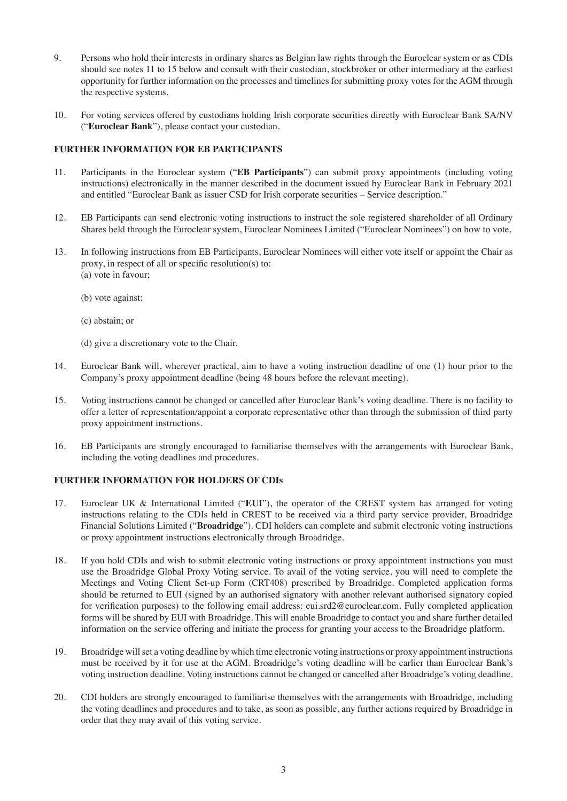- 9. Persons who hold their interests in ordinary shares as Belgian law rights through the Euroclear system or as CDIs should see notes 11 to 15 below and consult with their custodian, stockbroker or other intermediary at the earliest opportunity for further information on the processes and timelines for submitting proxy votes for the AGM through the respective systems.
- 10. For voting services offered by custodians holding Irish corporate securities directly with Euroclear Bank SA/NV ("**Euroclear Bank**"), please contact your custodian.

# **FURTHER INFORMATION FOR EB PARTICIPANTS**

- 11. Participants in the Euroclear system ("**EB Participants**") can submit proxy appointments (including voting instructions) electronically in the manner described in the document issued by Euroclear Bank in February 2021 and entitled "Euroclear Bank as issuer CSD for Irish corporate securities – Service description."
- 12. EB Participants can send electronic voting instructions to instruct the sole registered shareholder of all Ordinary Shares held through the Euroclear system, Euroclear Nominees Limited ("Euroclear Nominees") on how to vote.
- 13. In following instructions from EB Participants, Euroclear Nominees will either vote itself or appoint the Chair as proxy, in respect of all or specific resolution(s) to: (a) vote in favour;
	- (b) vote against;
	- (c) abstain; or
	- (d) give a discretionary vote to the Chair.
- 14. Euroclear Bank will, wherever practical, aim to have a voting instruction deadline of one (1) hour prior to the Company's proxy appointment deadline (being 48 hours before the relevant meeting).
- 15. Voting instructions cannot be changed or cancelled after Euroclear Bank's voting deadline. There is no facility to offer a letter of representation/appoint a corporate representative other than through the submission of third party proxy appointment instructions.
- 16. EB Participants are strongly encouraged to familiarise themselves with the arrangements with Euroclear Bank, including the voting deadlines and procedures.

### **FURTHER INFORMATION FOR HOLDERS OF CDIs**

- 17. Euroclear UK & International Limited ("**EUI**"), the operator of the CREST system has arranged for voting instructions relating to the CDIs held in CREST to be received via a third party service provider, Broadridge Financial Solutions Limited ("**Broadridge**"). CDI holders can complete and submit electronic voting instructions or proxy appointment instructions electronically through Broadridge.
- 18. If you hold CDIs and wish to submit electronic voting instructions or proxy appointment instructions you must use the Broadridge Global Proxy Voting service. To avail of the voting service, you will need to complete the Meetings and Voting Client Set-up Form (CRT408) prescribed by Broadridge. Completed application forms should be returned to EUI (signed by an authorised signatory with another relevant authorised signatory copied for verification purposes) to the following email address: eui.srd2@euroclear.com. Fully completed application forms will be shared by EUI with Broadridge. This will enable Broadridge to contact you and share further detailed information on the service offering and initiate the process for granting your access to the Broadridge platform.
- 19. Broadridge will set a voting deadline by which time electronic voting instructions or proxy appointment instructions must be received by it for use at the AGM. Broadridge's voting deadline will be earlier than Euroclear Bank's voting instruction deadline. Voting instructions cannot be changed or cancelled after Broadridge's voting deadline.
- 20. CDI holders are strongly encouraged to familiarise themselves with the arrangements with Broadridge, including the voting deadlines and procedures and to take, as soon as possible, any further actions required by Broadridge in order that they may avail of this voting service.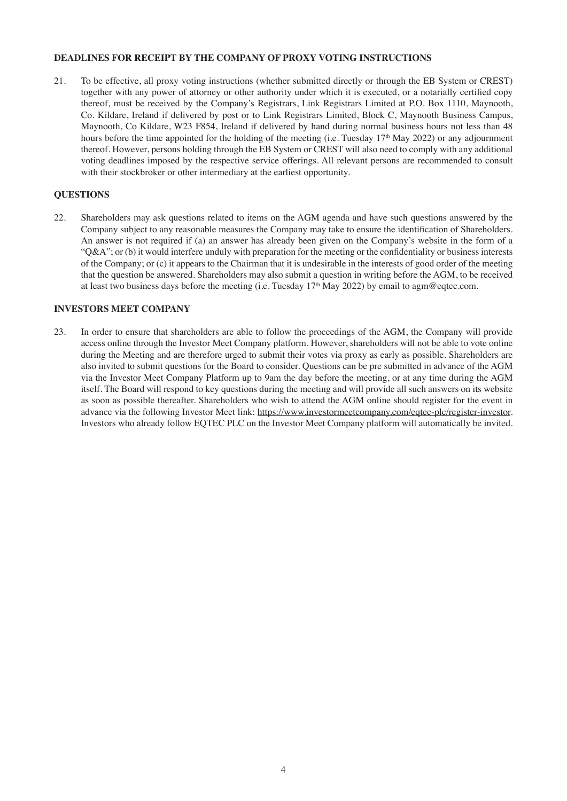### **DEADLINES FOR RECEIPT BY THE COMPANY OF PROXY VOTING INSTRUCTIONS**

21. To be effective, all proxy voting instructions (whether submitted directly or through the EB System or CREST) together with any power of attorney or other authority under which it is executed, or a notarially certified copy thereof, must be received by the Company's Registrars, Link Registrars Limited at P.O. Box 1110, Maynooth, Co. Kildare, Ireland if delivered by post or to Link Registrars Limited, Block C, Maynooth Business Campus, Maynooth, Co Kildare, W23 F854, Ireland if delivered by hand during normal business hours not less than 48 hours before the time appointed for the holding of the meeting (i.e. Tuesday 17<sup>th</sup> May 2022) or any adjournment thereof. However, persons holding through the EB System or CREST will also need to comply with any additional voting deadlines imposed by the respective service offerings. All relevant persons are recommended to consult with their stockbroker or other intermediary at the earliest opportunity.

### **QUESTIONS**

22. Shareholders may ask questions related to items on the AGM agenda and have such questions answered by the Company subject to any reasonable measures the Company may take to ensure the identification of Shareholders. An answer is not required if (a) an answer has already been given on the Company's website in the form of a "Q&A"; or (b) it would interfere unduly with preparation for the meeting or the confidentiality or business interests of the Company; or (c) it appears to the Chairman that it is undesirable in the interests of good order of the meeting that the question be answered. Shareholders may also submit a question in writing before the AGM, to be received at least two business days before the meeting (i.e. Tuesday 17<sup>th</sup> May 2022) by email to agm@eqtec.com.

# **INVESTORS MEET COMPANY**

23. In order to ensure that shareholders are able to follow the proceedings of the AGM, the Company will provide access online through the Investor Meet Company platform. However, shareholders will not be able to vote online during the Meeting and are therefore urged to submit their votes via proxy as early as possible. Shareholders are also invited to submit questions for the Board to consider. Questions can be pre submitted in advance of the AGM via the Investor Meet Company Platform up to 9am the day before the meeting, or at any time during the AGM itself. The Board will respond to key questions during the meeting and will provide all such answers on its website as soon as possible thereafter. Shareholders who wish to attend the AGM online should register for the event in advance via the following Investor Meet link: https://www.investormeetcompany.com/eqtec-plc/register-investor. Investors who already follow EQTEC PLC on the Investor Meet Company platform will automatically be invited.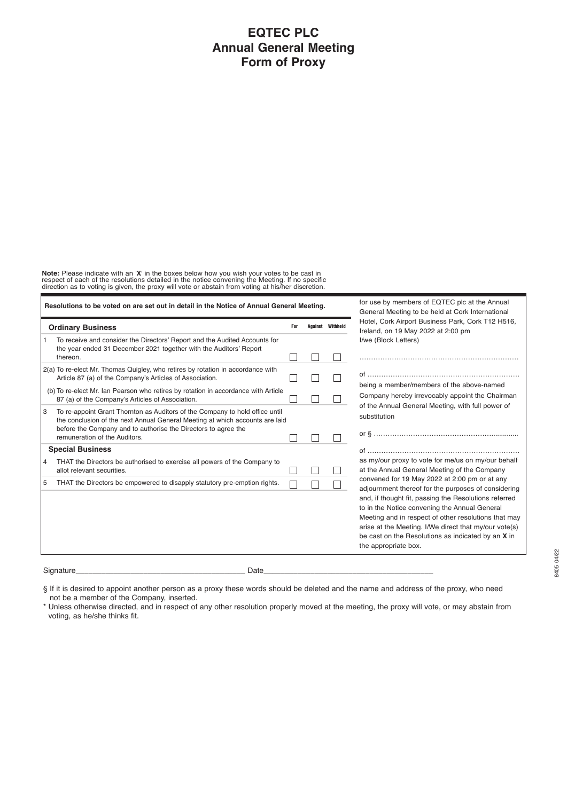# **EQTEC PLC Annual General Meeting Form of Proxy**

**Note:** Please indicate with an '**X**' in the boxes below how you wish your votes to be cast in<br>respect of each of the resolutions detailed in the notice convening the Meeting. If no specific<br>direction as to voting is given

| Resolutions to be voted on are set out in detail in the Notice of Annual General Meeting. |                                                                                                                                                                                                                                                                 |     |  | for use by members of EQTEC plc at the Annual<br>General Meeting to be held at Cork International |                                                                                                                                                                                                                                                                                                                                                                                                               |
|-------------------------------------------------------------------------------------------|-----------------------------------------------------------------------------------------------------------------------------------------------------------------------------------------------------------------------------------------------------------------|-----|--|---------------------------------------------------------------------------------------------------|---------------------------------------------------------------------------------------------------------------------------------------------------------------------------------------------------------------------------------------------------------------------------------------------------------------------------------------------------------------------------------------------------------------|
| <b>Ordinary Business</b>                                                                  |                                                                                                                                                                                                                                                                 | For |  | <b>Against</b> Withheld                                                                           | Hotel, Cork Airport Business Park, Cork T12 H516,<br>Ireland, on 19 May 2022 at 2:00 pm                                                                                                                                                                                                                                                                                                                       |
|                                                                                           | To receive and consider the Directors' Report and the Audited Accounts for<br>the year ended 31 December 2021 together with the Auditors' Report<br>thereon.                                                                                                    |     |  |                                                                                                   | I/we (Block Letters)                                                                                                                                                                                                                                                                                                                                                                                          |
|                                                                                           | 2(a) To re-elect Mr. Thomas Quigley, who retires by rotation in accordance with<br>Article 87 (a) of the Company's Articles of Association.                                                                                                                     |     |  |                                                                                                   | being a member/members of the above-named                                                                                                                                                                                                                                                                                                                                                                     |
|                                                                                           | (b) To re-elect Mr. Ian Pearson who retires by rotation in accordance with Article<br>87 (a) of the Company's Articles of Association.                                                                                                                          |     |  |                                                                                                   | Company hereby irrevocably appoint the Chairman                                                                                                                                                                                                                                                                                                                                                               |
| 3                                                                                         | To re-appoint Grant Thornton as Auditors of the Company to hold office until<br>the conclusion of the next Annual General Meeting at which accounts are laid<br>before the Company and to authorise the Directors to agree the<br>remuneration of the Auditors. |     |  |                                                                                                   | of the Annual General Meeting, with full power of<br>substitution<br>or § ……………………………………………………………                                                                                                                                                                                                                                                                                                             |
| <b>Special Business</b>                                                                   |                                                                                                                                                                                                                                                                 |     |  |                                                                                                   |                                                                                                                                                                                                                                                                                                                                                                                                               |
| $\overline{4}$                                                                            | THAT the Directors be authorised to exercise all powers of the Company to<br>allot relevant securities.                                                                                                                                                         |     |  |                                                                                                   | as my/our proxy to vote for me/us on my/our behalf<br>at the Annual General Meeting of the Company                                                                                                                                                                                                                                                                                                            |
| 5                                                                                         | THAT the Directors be empowered to disapply statutory pre-emption rights.                                                                                                                                                                                       |     |  |                                                                                                   | convened for 19 May 2022 at 2:00 pm or at any<br>adjournment thereof for the purposes of considering<br>and, if thought fit, passing the Resolutions referred<br>to in the Notice convening the Annual General<br>Meeting and in respect of other resolutions that may<br>arise at the Meeting. I/We direct that my/our vote(s)<br>be cast on the Resolutions as indicated by an X in<br>the appropriate box. |
|                                                                                           | Date<br>Signature                                                                                                                                                                                                                                               |     |  |                                                                                                   |                                                                                                                                                                                                                                                                                                                                                                                                               |

§ If it is desired to appoint another person as a proxy these words should be deleted and the name and address of the proxy, who need not be a member of the Company, inserted.

\* Unless otherwise directed, and in respect of any other resolution properly moved at the meeting, the proxy will vote, or may abstain from voting, as he/she thinks fit.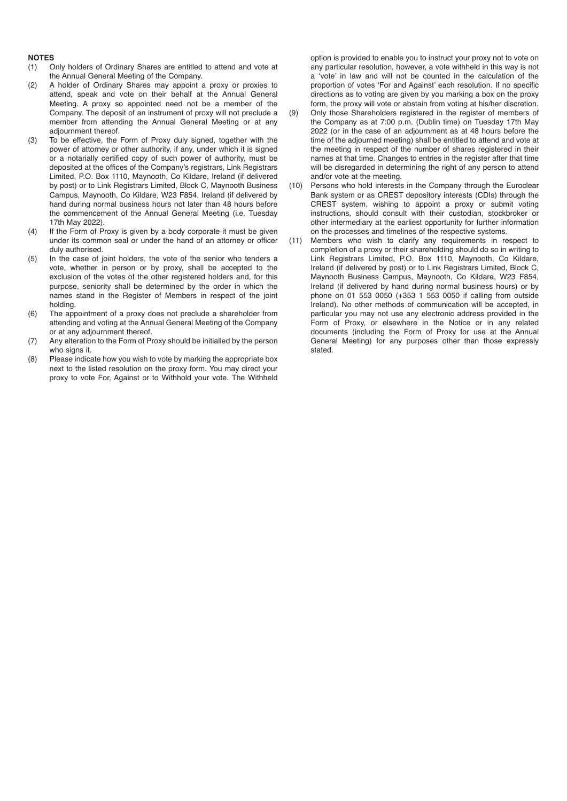- **NOTES** Only holders of Ordinary Shares are entitled to attend and vote at the Annual General Meeting of the Company.
- (2) A holder of Ordinary Shares may appoint a proxy or proxies to attend, speak and vote on their behalf at the Annual General Meeting. A proxy so appointed need not be a member of the Company. The deposit of an instrument of proxy will not preclude a member from attending the Annual General Meeting or at any adjournment thereof.
- (3) To be effective, the Form of Proxy duly signed, together with the power of attorney or other authority, if any, under which it is signed or a notarially certified copy of such power of authority, must be deposited at the offices of the Company's registrars, Link Registrars Limited, P.O. Box 1110, Maynooth, Co Kildare, Ireland (if delivered by post) or to Link Registrars Limited, Block C, Maynooth Business Campus, Maynooth, Co Kildare, W23 F854, Ireland (if delivered by hand during normal business hours not later than 48 hours before the commencement of the Annual General Meeting (i.e. Tuesday 17th May 2022).
- (4) If the Form of Proxy is given by a body corporate it must be given under its common seal or under the hand of an attorney or officer duly authorised.
- (5) In the case of joint holders, the vote of the senior who tenders a vote, whether in person or by proxy, shall be accepted to the exclusion of the votes of the other registered holders and, for this purpose, seniority shall be determined by the order in which the names stand in the Register of Members in respect of the joint holding.
- (6) The appointment of a proxy does not preclude a shareholder from attending and voting at the Annual General Meeting of the Company or at any adjournment thereof.
- (7) Any alteration to the Form of Proxy should be initialled by the person who signs it.
- (8) Please indicate how you wish to vote by marking the appropriate box next to the listed resolution on the proxy form. You may direct your proxy to vote For, Against or to Withhold your vote. The Withheld

option is provided to enable you to instruct your proxy not to vote on any particular resolution, however, a vote withheld in this way is not a 'vote' in law and will not be counted in the calculation of the proportion of votes 'For and Against' each resolution. If no specific directions as to voting are given by you marking a box on the proxy form, the proxy will vote or abstain from voting at his/her discretion.

- (9) Only those Shareholders registered in the register of members of the Company as at 7:00 p.m. (Dublin time) on Tuesday 17th May 2022 (or in the case of an adjournment as at 48 hours before the time of the adjourned meeting) shall be entitled to attend and vote at the meeting in respect of the number of shares registered in their names at that time. Changes to entries in the register after that time will be disregarded in determining the right of any person to attend and/or vote at the meeting.
- (10) Persons who hold interests in the Company through the Euroclear Bank system or as CREST depository interests (CDIs) through the CREST system, wishing to appoint a proxy or submit voting instructions, should consult with their custodian, stockbroker or other intermediary at the earliest opportunity for further information on the processes and timelines of the respective systems.
- (11) Members who wish to clarify any requirements in respect to completion of a proxy or their shareholding should do so in writing to Link Registrars Limited, P.O. Box 1110, Maynooth, Co Kildare, Ireland (if delivered by post) or to Link Registrars Limited, Block C, Maynooth Business Campus, Maynooth, Co Kildare, W23 F854, Ireland (if delivered by hand during normal business hours) or by phone on 01 553 0050 (+353 1 553 0050 if calling from outside Ireland). No other methods of communication will be accepted, in particular you may not use any electronic address provided in the Form of Proxy, or elsewhere in the Notice or in any related documents (including the Form of Proxy for use at the Annual General Meeting) for any purposes other than those expressly stated.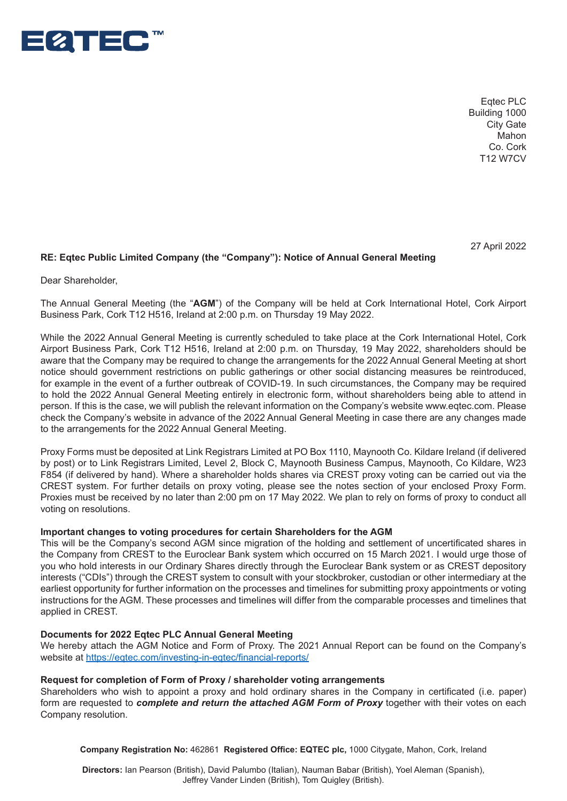

Eqtec PLC Building 1000 City Gate Mahon Co. Cork T12 W7CV

27 April 2022

# RE: Eqtec Public Limited Company (the "Company"): Notice of Annual General Meeting

Dear Shareholder,

Business Park, Cork T12 H516, Ireland at 2:00 p.m. on Thursday 19 May 2022. The Annual General Meeting (the "**AGM**") of the Company will be held at Cork International Hotel, Cork Airport

requested to *complete and return the attached Proxy Form together with your votes*  While the 2022 Annual General Meeting is currently scheduled to take place at the Cork International Hotel, Cork<br>At the 2022 Annual General Meeting is currently scheduled to take place at the Cork International Hotel, Cork All port Basiliess Fanx, Cont T12 11910, Inclaind at 2.00 p.m. on Tharsday, 19 May 2022, Shareholders should be<br>aware that the Company may be required to change the arrangements for the 2022 Annual General Meeting at short Forms enour government redinations on passing gamerings or earch cooldit distancing included be reminedated,<br>for example in the event of a further outbreak of COVID-19. In such circumstances, the Company may be required Ireland (if delivered by postelland Community C, Link C, Maynon, Level C, Maynon, Maynon, Maynon, Maynon, Link Registration by providing to the 2022 Annual General Meeting entirely in electronic form, without shareholders person. If this is the case, we will publish the relevant information on the Company's website www.eqtec.com. Please .<br>check the Company's website in advance of the 2022 Annual General Meeting in case there are any changes made Airport Business Park, Cork T12 H516, Ireland at 2:00 p.m. on Thursday, 19 May 2022, shareholders should be notice should government restrictions on public gatherings or other social distancing measures be reintroduced, to the arrangements for the 2022 Annual General Meeting.

Proxy Forms must be deposited at Link Registrars Limited at PO Box 1110, Maynooth Co. Kildare Ireland (if delivered F854 (if delivered by hand). Where a shareholder holds shares via CREST proxy voting can be carried out via the Proxies must be received by no later than 2:00 pm on 17 May 2022. We plan to rely on forms of proxy to conduct all by post) or to Link Registrars Limited, Level 2, Block C, Maynooth Business Campus, Maynooth, Co Kildare, W23 CREST system. For further details on proxy voting, please see the notes section of your enclosed Proxy Form. voting on resolutions.

# *l* **mportant changes to voting procedures for certain Shareholders for the AGM**

the Company from CREST to the Euroclear Bank system which occurred on 15 March 2021. I would urge those of earliest opportunity for further information on the processes and timelines for submitting proxy appointments or voting instructions for the AGM. These processes and timelines will differ from the comparable processes and timelines that<br>applied in CREST This will be the Company's second AGM since migration of the holding and settlement of uncertificated shares in you who hold interests in our Ordinary Shares directly through the Euroclear Bank system or as CREST depository interests ("CDIs") through the CREST system to consult with your stockbroker, custodian or other intermediary at the applied in CREST.

# **Documents for 2022 Eqtec PLC Annual General Meeting**

We hereby attach the AGM Notice and Form of Proxy. The 2021 Annual Report can be found on the Company's website at https://eqtec.com/investing-in-eqtec/financial-reports/

### **Request for completion of Form of Proxy / shareholder voting arrangements**

**Company Registration No:** 462861 **Registered Office: EQTEC plc,** 1000 Citygate, Mahon, Cork, Ireland Shareholders who wish to appoint a proxy and hold ordinary shares in the Company in certificated (i.e. paper) form are requested to *complete and return the attached AGM Form of Proxy* together with their votes on each Company resolution.

**Company Registration No:** 462861 **Registered Office: EQTEC plc,** 1000 Citygate, Mahon, Cork, Ireland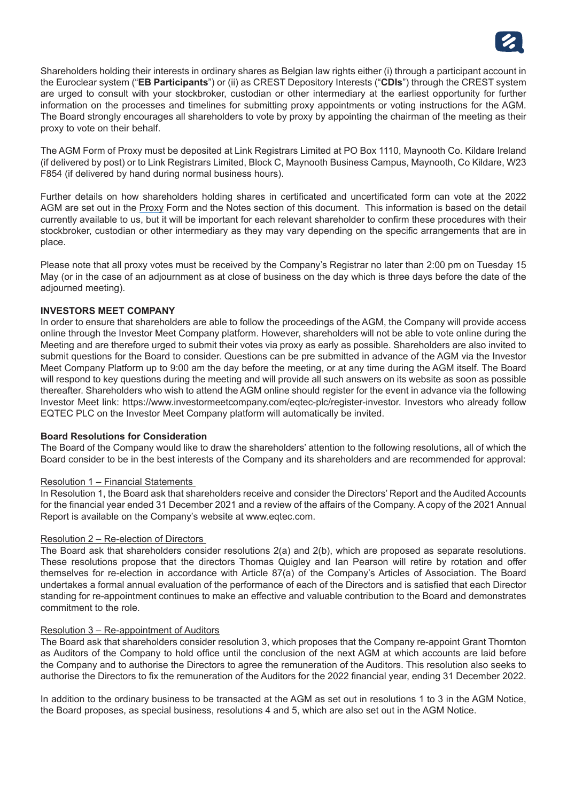

Shareholders holding their interests in ordinary shares as Belgian law rights either (i) through a participant account in the Euroclear system ("**EB Participants**") or (ii) as CREST Depository Interests ("**CDIs**") through the CREST system are urged to consult with your stockbroker, custodian or other intermediary at the earliest opportunity for further information on the processes and timelines for submitting proxy appointments or voting instructions for the AGM. The Board strongly encourages all shareholders to vote by proxy by appointing the chairman of the meeting as their proxy to vote on their behalf.

The AGM Form of Proxy must be deposited at Link Registrars Limited at PO Box 1110, Maynooth Co. Kildare Ireland (if delivered by post) or to Link Registrars Limited, Block C, Maynooth Business Campus, Maynooth, Co Kildare, W23 F854 (if delivered by hand during normal business hours).

Further details on how shareholders holding shares in certificated and uncertificated form can vote at the 2022 AGM are set out in the Proxy Form and the Notes section of this document. This information is based on the detail currently available to us, but it will be important for each relevant shareholder to confirm these procedures with their stockbroker, custodian or other intermediary as they may vary depending on the specific arrangements that are in place.

Please note that all proxy votes must be received by the Company's Registrar no later than 2:00 pm on Tuesday 15 May (or in the case of an adjournment as at close of business on the day which is three days before the date of the adiourned meeting).

# **INVESTORS MEET COMPANY**

In order to ensure that shareholders are able to follow the proceedings of the AGM, the Company will provide access online through the Investor Meet Company platform. However, shareholders will not be able to vote online during the Meeting and are therefore urged to submit their votes via proxy as early as possible. Shareholders are also invited to submit questions for the Board to consider. Questions can be pre submitted in advance of the AGM via the Investor Meet Company Platform up to 9:00 am the day before the meeting, or at any time during the AGM itself. The Board will respond to key questions during the meeting and will provide all such answers on its website as soon as possible thereafter. Shareholders who wish to attend the AGM online should register for the event in advance via the following Investor Meet link: https://www.investormeetcompany.com/eqtec-plc/register-investor. Investors who already follow EQTEC PLC on the Investor Meet Company platform will automatically be invited.

### **Board Resolutions for Consideration**

The Board of the Company would like to draw the shareholders' attention to the following resolutions, all of which the Board consider to be in the best interests of the Company and its shareholders and are recommended for approval:

# Resolution 1 – Financial Statements

In Resolution 1, the Board ask that shareholders receive and consider the Directors' Report and the Audited Accounts for the financial year ended 31 December 2021 and a review of the affairs of the Company. A copy of the 2021 Annual Report is available on the Company's website at www.eqtec.com.

# Resolution 2 – Re-election of Directors

The Board ask that shareholders consider resolutions 2(a) and 2(b), which are proposed as separate resolutions. These resolutions propose that the directors Thomas Quigley and Ian Pearson will retire by rotation and offer themselves for re-election in accordance with Article 87(a) of the Company's Articles of Association. The Board undertakes a formal annual evaluation of the performance of each of the Directors and is satisfied that each Director standing for re-appointment continues to make an effective and valuable contribution to the Board and demonstrates commitment to the role.

# Resolution 3 – Re-appointment of Auditors

The Board ask that shareholders consider resolution 3, which proposes that the Company re-appoint Grant Thornton as Auditors of the Company to hold office until the conclusion of the next AGM at which accounts are laid before the Company and to authorise the Directors to agree the remuneration of the Auditors. This resolution also seeks to authorise the Directors to fix the remuneration of the Auditors for the 2022 financial year, ending 31 December 2022.

In addition to the ordinary business to be transacted at the AGM as set out in resolutions 1 to 3 in the AGM Notice, the Board proposes, as special business, resolutions 4 and 5, which are also set out in the AGM Notice.